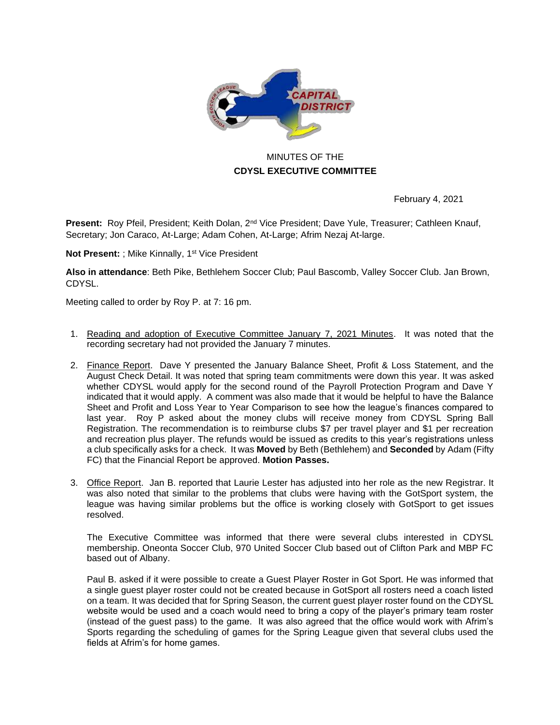

## MINUTES OF THE **CDYSL EXECUTIVE COMMITTEE**

February 4, 2021

**Present:** Roy Pfeil, President; Keith Dolan, 2<sup>nd</sup> Vice President; Dave Yule, Treasurer; Cathleen Knauf, Secretary; Jon Caraco, At-Large; Adam Cohen, At-Large; Afrim Nezaj At-large.

**Not Present:** ; Mike Kinnally, 1<sup>st</sup> Vice President

**Also in attendance**: Beth Pike, Bethlehem Soccer Club; Paul Bascomb, Valley Soccer Club. Jan Brown, CDYSL.

Meeting called to order by Roy P. at 7: 16 pm.

- 1. Reading and adoption of Executive Committee January 7, 2021 Minutes. It was noted that the recording secretary had not provided the January 7 minutes.
- 2. Finance Report. Dave Y presented the January Balance Sheet, Profit & Loss Statement, and the August Check Detail. It was noted that spring team commitments were down this year. It was asked whether CDYSL would apply for the second round of the Payroll Protection Program and Dave Y indicated that it would apply. A comment was also made that it would be helpful to have the Balance Sheet and Profit and Loss Year to Year Comparison to see how the league's finances compared to last year. Roy P asked about the money clubs will receive money from CDYSL Spring Ball Registration. The recommendation is to reimburse clubs \$7 per travel player and \$1 per recreation and recreation plus player. The refunds would be issued as credits to this year's registrations unless a club specifically asks for a check. It was **Moved** by Beth (Bethlehem) and **Seconded** by Adam (Fifty FC) that the Financial Report be approved. **Motion Passes.**
- 3. Office Report. Jan B. reported that Laurie Lester has adjusted into her role as the new Registrar. It was also noted that similar to the problems that clubs were having with the GotSport system, the league was having similar problems but the office is working closely with GotSport to get issues resolved.

The Executive Committee was informed that there were several clubs interested in CDYSL membership. Oneonta Soccer Club, 970 United Soccer Club based out of Clifton Park and MBP FC based out of Albany.

Paul B. asked if it were possible to create a Guest Player Roster in Got Sport. He was informed that a single guest player roster could not be created because in GotSport all rosters need a coach listed on a team. It was decided that for Spring Season, the current guest player roster found on the CDYSL website would be used and a coach would need to bring a copy of the player's primary team roster (instead of the guest pass) to the game. It was also agreed that the office would work with Afrim's Sports regarding the scheduling of games for the Spring League given that several clubs used the fields at Afrim's for home games.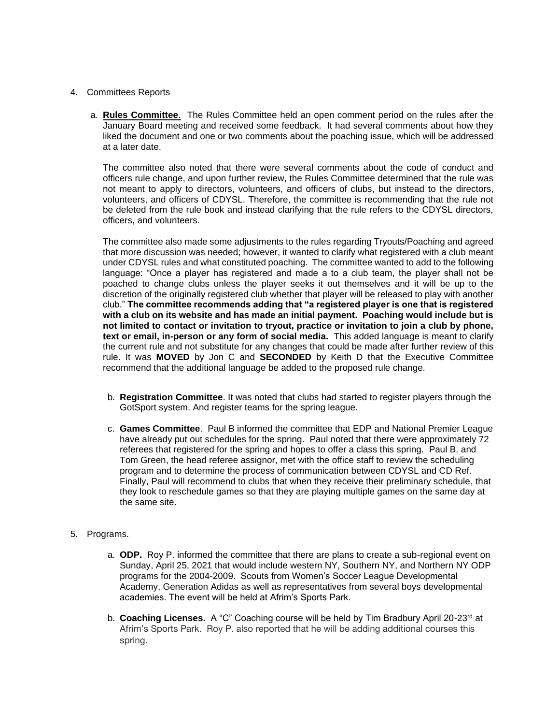- 4. Committees Reports
	- a. **Rules Committee**. The Rules Committee held an open comment period on the rules after the January Board meeting and received some feedback. It had several comments about how they liked the document and one or two comments about the poaching issue, which will be addressed at a later date.

The committee also noted that there were several comments about the code of conduct and officers rule change, and upon further review, the Rules Committee determined that the rule was not meant to apply to directors, volunteers, and officers of clubs, but instead to the directors, volunteers, and officers of CDYSL. Therefore, the committee is recommending that the rule not be deleted from the rule book and instead clarifying that the rule refers to the CDYSL directors, officers, and volunteers.

The committee also made some adjustments to the rules regarding Tryouts/Poaching and agreed that more discussion was needed; however, it wanted to clarify what registered with a club meant under CDYSL rules and what constituted poaching. The committee wanted to add to the following language: "Once a player has registered and made a to a club team, the player shall not be poached to change clubs unless the player seeks it out themselves and it will be up to the discretion of the originally registered club whether that player will be released to play with another club." **The committee recommends adding that "a registered player is one that is registered with a club on its website and has made an initial payment. Poaching would include but is not limited to contact or invitation to tryout, practice or invitation to join a club by phone, text or email, in-person or any form of social media.** This added language is meant to clarify the current rule and not substitute for any changes that could be made after further review of this rule. It was **MOVED** by Jon C and **SECONDED** by Keith D that the Executive Committee recommend that the additional language be added to the proposed rule change.

- b. **Registration Committee**. It was noted that clubs had started to register players through the GotSport system. And register teams for the spring league.
- c. **Games Committee**. Paul B informed the committee that EDP and National Premier League have already put out schedules for the spring. Paul noted that there were approximately 72 referees that registered for the spring and hopes to offer a class this spring. Paul B. and Tom Green, the head referee assignor, met with the office staff to review the scheduling program and to determine the process of communication between CDYSL and CD Ref. Finally, Paul will recommend to clubs that when they receive their preliminary schedule, that they look to reschedule games so that they are playing multiple games on the same day at the same site.

## 5. Programs.

- a. **ODP.** Roy P. informed the committee that there are plans to create a sub-regional event on Sunday, April 25, 2021 that would include western NY, Southern NY, and Northern NY ODP programs for the 2004-2009. Scouts from Women's Soccer League Developmental Academy, Generation Adidas as well as representatives from several boys developmental academies. The event will be held at Afrim's Sports Park.
- b. **Coaching Licenses.** A "C" Coaching course will be held by Tim Bradbury April 20-23rd at Afrim's Sports Park. Roy P. also reported that he will be adding additional courses this spring.